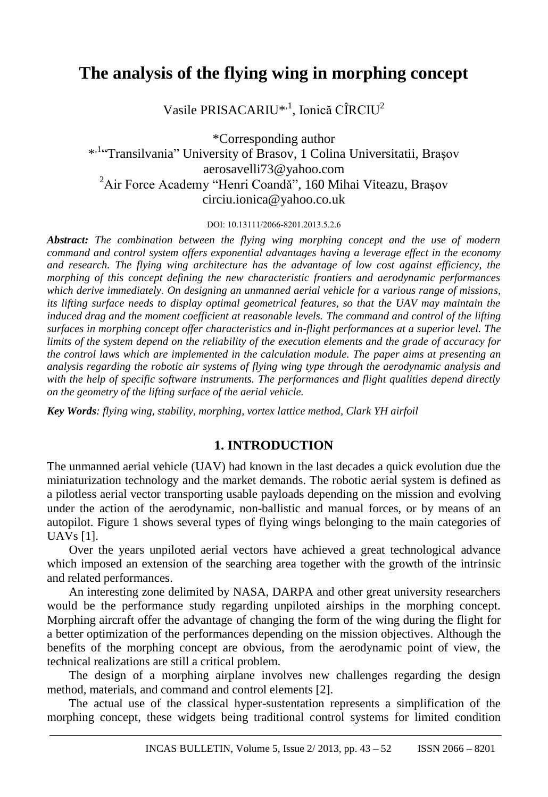# **The analysis of the flying wing in morphing concept**

Vasile PRISACARIU<sup>\*,1</sup>, Ionică CÎRCIU<sup>2</sup>

\*Corresponding author \* ,1 "Transilvania" University of Brasov, 1 Colina Universitatii, Braşov aerosavelli73@yahoo.com <sup>2</sup>Air Force Academy "Henri Coandă"*,* 160 Mihai Viteazu, Braşov circiu.ionica@yahoo.co.uk

DOI: 10.13111/2066-8201.2013.5.2.6

*Abstract: The combination between the flying wing morphing concept and the use of modern command and control system offers exponential advantages having a leverage effect in the economy and research. The flying wing architecture has the advantage of low cost against efficiency, the morphing of this concept defining the new characteristic frontiers and aerodynamic performances which derive immediately. On designing an unmanned aerial vehicle for a various range of missions, its lifting surface needs to display optimal geometrical features, so that the UAV may maintain the induced drag and the moment coefficient at reasonable levels. The command and control of the lifting surfaces in morphing concept offer characteristics and in-flight performances at a superior level. The limits of the system depend on the reliability of the execution elements and the grade of accuracy for the control laws which are implemented in the calculation module. The paper aims at presenting an analysis regarding the robotic air systems of flying wing type through the aerodynamic analysis and with the help of specific software instruments. The performances and flight qualities depend directly on the geometry of the lifting surface of the aerial vehicle.*

*Key Words: flying wing, stability, morphing, vortex lattice method, Clark YH airfoil*

# **1. INTRODUCTION**

The unmanned aerial vehicle (UAV) had known in the last decades a quick evolution due the miniaturization technology and the market demands. The robotic aerial system is defined as a pilotless aerial vector transporting usable payloads depending on the mission and evolving under the action of the aerodynamic, non-ballistic and manual forces, or by means of an autopilot. Figure 1 shows several types of flying wings belonging to the main categories of UAVs [1].

Over the years unpiloted aerial vectors have achieved a great technological advance which imposed an extension of the searching area together with the growth of the intrinsic and related performances.

An interesting zone delimited by NASA, DARPA and other great university researchers would be the performance study regarding unpiloted airships in the morphing concept. Morphing aircraft offer the advantage of changing the form of the wing during the flight for a better optimization of the performances depending on the mission objectives. Although the benefits of the morphing concept are obvious, from the aerodynamic point of view, the technical realizations are still a critical problem.

The design of a morphing airplane involves new challenges regarding the design method, materials, and command and control elements [2].

The actual use of the classical hyper-sustentation represents a simplification of the morphing concept, these widgets being traditional control systems for limited condition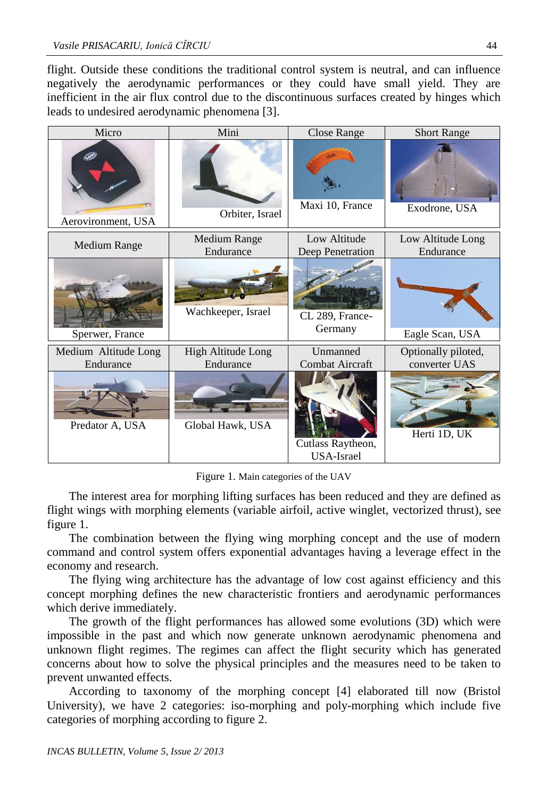flight. Outside these conditions the traditional control system is neutral, and can influence negatively the aerodynamic performances or they could have small yield. They are inefficient in the air flux control due to the discontinuous surfaces created by hinges which leads to undesired aerodynamic phenomena [3].

| Micro                             | Mini                             | <b>Close Range</b>                     | <b>Short Range</b>                   |  |
|-----------------------------------|----------------------------------|----------------------------------------|--------------------------------------|--|
| Aerovironment, USA                | Orbiter, Israel                  | Maxi 10, France                        | Exodrone, USA                        |  |
| <b>Medium Range</b>               | <b>Medium Range</b><br>Endurance | Low Altitude<br>Deep Penetration       | Low Altitude Long<br>Endurance       |  |
| Sperwer, France                   | Wachkeeper, Israel               | CL 289, France-<br>Germany             | Eagle Scan, USA                      |  |
| Medium Altitude Long<br>Endurance | High Altitude Long<br>Endurance  | Unmanned<br><b>Combat Aircraft</b>     | Optionally piloted,<br>converter UAS |  |
| Predator A, USA                   | Global Hawk, USA                 | Cutlass Raytheon,<br><b>USA-Israel</b> | Herti 1D, UK                         |  |

Figure 1. Main categories of the UAV

The interest area for morphing lifting surfaces has been reduced and they are defined as flight wings with morphing elements (variable airfoil, active winglet, vectorized thrust), see figure 1.

The combination between the flying wing morphing concept and the use of modern command and control system offers exponential advantages having a leverage effect in the economy and research.

The flying wing architecture has the advantage of low cost against efficiency and this concept morphing defines the new characteristic frontiers and aerodynamic performances which derive immediately.

The growth of the flight performances has allowed some evolutions (3D) which were impossible in the past and which now generate unknown aerodynamic phenomena and unknown flight regimes. The regimes can affect the flight security which has generated concerns about how to solve the physical principles and the measures need to be taken to prevent unwanted effects.

According to taxonomy of the morphing concept [4] elaborated till now (Bristol University), we have 2 categories: iso-morphing and poly-morphing which include five categories of morphing according to figure 2.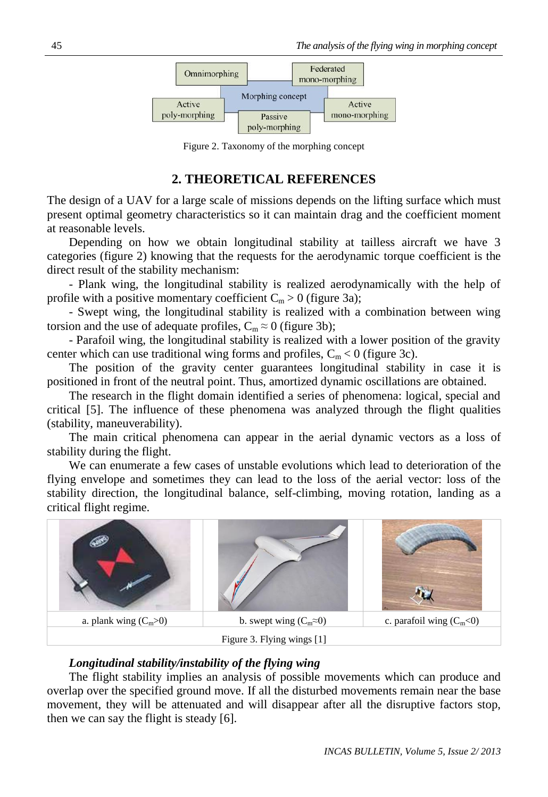

Figure 2. Taxonomy of the morphing concept

# **2. THEORETICAL REFERENCES**

The design of a UAV for a large scale of missions depends on the lifting surface which must present optimal geometry characteristics so it can maintain drag and the coefficient moment at reasonable levels.

Depending on how we obtain longitudinal stability at tailless aircraft we have 3 categories (figure 2) knowing that the requests for the aerodynamic torque coefficient is the direct result of the stability mechanism:

- Plank wing, the longitudinal stability is realized aerodynamically with the help of profile with a positive momentary coefficient  $C_m > 0$  (figure 3a);

- Swept wing, the longitudinal stability is realized with a combination between wing torsion and the use of adequate profiles,  $C_m \approx 0$  (figure 3b);

- Parafoil wing, the longitudinal stability is realized with a lower position of the gravity center which can use traditional wing forms and profiles,  $C_m < 0$  (figure 3c).

The position of the gravity center guarantees longitudinal stability in case it is positioned in front of the neutral point. Thus, amortized dynamic oscillations are obtained.

The research in the flight domain identified a series of phenomena: logical, special and critical [5]. The influence of these phenomena was analyzed through the flight qualities (stability, maneuverability).

The main critical phenomena can appear in the aerial dynamic vectors as a loss of stability during the flight.

We can enumerate a few cases of unstable evolutions which lead to deterioration of the flying envelope and sometimes they can lead to the loss of the aerial vector: loss of the stability direction, the longitudinal balance, self-climbing, moving rotation, landing as a critical flight regime.



#### *Longitudinal stability/instability of the flying wing*

The flight stability implies an analysis of possible movements which can produce and overlap over the specified ground move. If all the disturbed movements remain near the base movement, they will be attenuated and will disappear after all the disruptive factors stop, then we can say the flight is steady [6].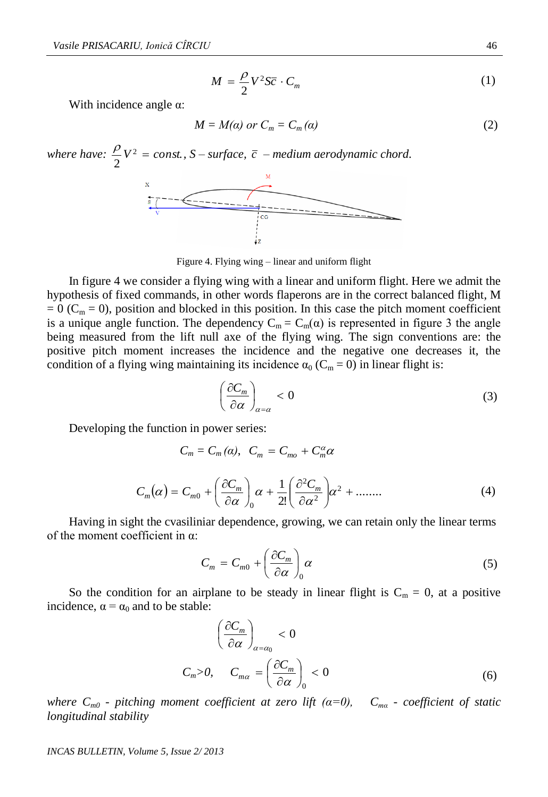$$
M = \frac{\rho}{2} V^2 S \overline{c} \cdot C_m \tag{1}
$$

With incidence angle  $\alpha$ :

$$
M = M(\alpha) \text{ or } C_m = C_m(\alpha) \tag{2}
$$

 $\frac{\rho}{\sigma}V^2 = \text{const.}$ , S – surface,  $\bar{c}$  – medium aerodynamic chord. *where have:*  $\frac{P}{2}V^2 = const.$ 2 x<br>  $\frac{1}{\frac{1}{\sqrt{1-\frac{1}{\sqrt{1-\frac{1}{\sqrt{1-\frac{1}{\sqrt{1-\frac{1}{\sqrt{1-\frac{1}{\sqrt{1-\frac{1}{\sqrt{1-\frac{1}{\sqrt{1-\frac{1}{\sqrt{1-\frac{1}{\sqrt{1-\frac{1}{\sqrt{1-\frac{1}{\sqrt{1-\frac{1}{\sqrt{1-\frac{1}{\sqrt{1-\frac{1}{\sqrt{1-\frac{1}{\sqrt{1-\frac{1}{\sqrt{1-\frac{1}{\sqrt{1-\frac{1}{\sqrt{1-\frac{1}{\sqrt{1-\frac{1}{\sqrt{1-\frac{1}{\sqrt{1-\frac{1}{\sqrt{1-\frac{1}{$ 

Figure 4. Flying wing – linear and uniform flight

In figure 4 we consider a flying wing with a linear and uniform flight. Here we admit the hypothesis of fixed commands, in other words flaperons are in the correct balanced flight, M  $= 0$  (C<sub>m</sub> = 0), position and blocked in this position. In this case the pitch moment coefficient is a unique angle function. The dependency  $C_m = C_m(\alpha)$  is represented in figure 3 the angle being measured from the lift null axe of the flying wing. The sign conventions are: the positive pitch moment increases the incidence and the negative one decreases it, the condition of a flying wing maintaining its incidence  $\alpha_0$  (C<sub>m</sub> = 0) in linear flight is:

$$
\left(\frac{\partial C_m}{\partial \alpha}\right)_{\alpha=\alpha} < 0 \tag{3}
$$

Developing the function in power series:

$$
C_m(\alpha) = C_{m0} + \left(\frac{\partial C_m}{\partial \alpha}\right)_0 \alpha + \frac{1}{2!} \left(\frac{\partial^2 C_m}{\partial \alpha^2}\right) \alpha^2 + \dots \dots \tag{4}
$$

Having in sight the cvasiliniar dependence, growing, we can retain only the linear terms of the moment coefficient in α:

 $C_m = C_m(\alpha)$ ,  $C_m = C_{mo} + C_m^{\alpha} \alpha$ 

$$
C_m = C_{m0} + \left(\frac{\partial C_m}{\partial \alpha}\right)_0 \alpha \tag{5}
$$

So the condition for an airplane to be steady in linear flight is  $C_m = 0$ , at a positive incidence,  $\alpha = \alpha_0$  and to be stable:

$$
\left(\frac{\partial C_m}{\partial \alpha}\right)_{\alpha=\alpha_0} < 0
$$
\n
$$
C_m > 0, \qquad C_{m\alpha} = \left(\frac{\partial C_m}{\partial \alpha}\right)_0 < 0 \tag{6}
$$

*where Cm0 - pitching moment coefficient at zero lift (α=0), Cmα - coefficient of static longitudinal stability*

*INCAS BULLETIN, Volume 5, Issue 2/ 2013*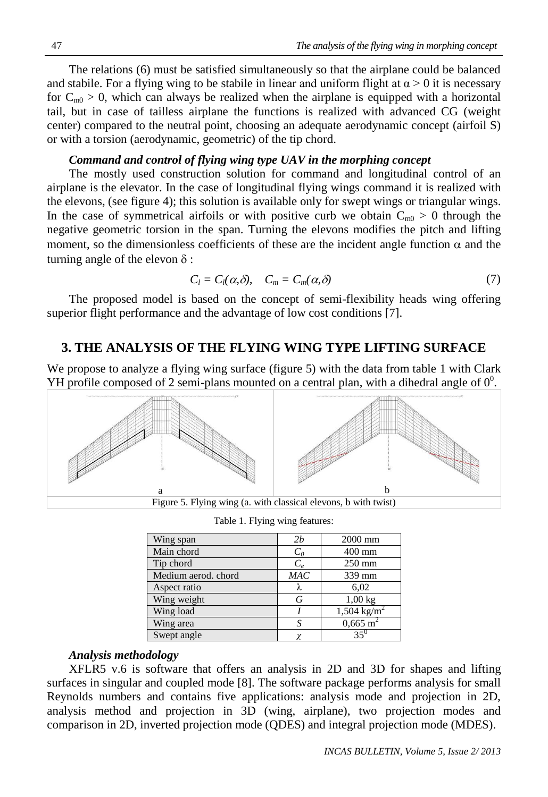The relations (6) must be satisfied simultaneously so that the airplane could be balanced and stabile. For a flying wing to be stabile in linear and uniform flight at  $\alpha > 0$  it is necessary for  $C_{m0} > 0$ , which can always be realized when the airplane is equipped with a horizontal tail, but in case of tailless airplane the functions is realized with advanced CG (weight center) compared to the neutral point, choosing an adequate aerodynamic concept (airfoil S) or with a torsion (aerodynamic, geometric) of the tip chord.

#### *Command and control of flying wing type UAV in the morphing concept*

The mostly used construction solution for command and longitudinal control of an airplane is the elevator. In the case of longitudinal flying wings command it is realized with the elevons, (see figure 4); this solution is available only for swept wings or triangular wings. In the case of symmetrical airfoils or with positive curb we obtain  $C_{m0} > 0$  through the negative geometric torsion in the span. Turning the elevons modifies the pitch and lifting moment, so the dimensionless coefficients of these are the incident angle function  $\alpha$  and the turning angle of the elevon  $\delta$ :

$$
C_l = C_l(\alpha, \delta), \quad C_m = C_m(\alpha, \delta) \tag{7}
$$

The proposed model is based on the concept of semi-flexibility heads wing offering superior flight performance and the advantage of low cost conditions [7].

#### **3. THE ANALYSIS OF THE FLYING WING TYPE LIFTING SURFACE**

We propose to analyze a flying wing surface (figure 5) with the data from table 1 with Clark YH profile composed of 2 semi-plans mounted on a central plan, with a dihedral angle of  $0^0$ .



Table 1. Flying wing features:

| Wing span           | 2b         | 2000 mm                 |  |
|---------------------|------------|-------------------------|--|
| Main chord          | $C_0$      | $400$ mm                |  |
| Tip chord           | $C_{\rho}$ | $250 \text{ mm}$        |  |
| Medium aerod. chord | MAC        | 339 mm                  |  |
| Aspect ratio        |            | 6,02                    |  |
| Wing weight         | G          | $1,00$ kg               |  |
| Wing load           |            | 1,504 kg/m <sup>2</sup> |  |
| Wing area           |            | $0,665 \text{ m}^2$     |  |
| Swept angle         |            | $35^{\circ}$            |  |

#### *Analysis methodology*

XFLR5 v.6 is software that offers an analysis in 2D and 3D for shapes and lifting surfaces in singular and coupled mode [8]. The software package performs analysis for small Reynolds numbers and contains five applications: analysis mode and projection in 2D, analysis method and projection in 3D (wing, airplane), two projection modes and comparison in 2D, inverted projection mode (QDES) and integral projection mode (MDES).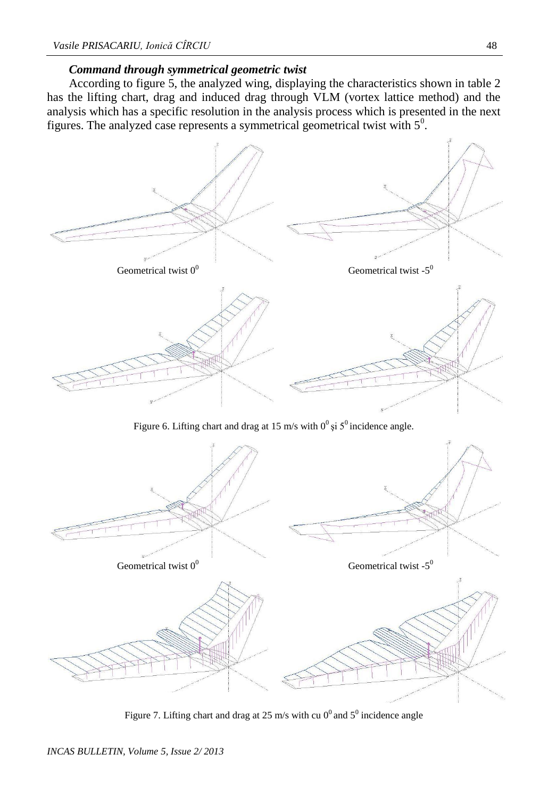### *Command through symmetrical geometric twist*

According to figure 5, the analyzed wing, displaying the characteristics shown in table 2 has the lifting chart, drag and induced drag through VLM (vortex lattice method) and the analysis which has a specific resolution in the analysis process which is presented in the next figures. The analyzed case represents a symmetrical geometrical twist with  $5^{\circ}$ .



Figure 6. Lifting chart and drag at 15 m/s with  $0^0$  si  $5^0$  incidence angle.



Figure 7. Lifting chart and drag at 25 m/s with cu  $0^0$  and  $5^0$  incidence angle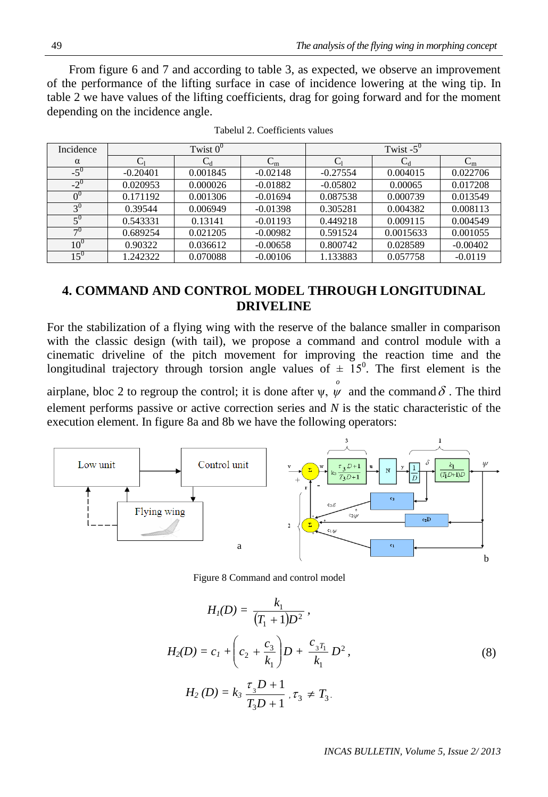49 *The analysis of the flying wing in morphing concept*

From figure 6 and 7 and according to table 3, as expected, we observe an improvement of the performance of the lifting surface in case of incidence lowering at the wing tip. In table 2 we have values of the lifting coefficients, drag for going forward and for the moment depending on the incidence angle.

| Incidence  | Twist $0^0$ |                |                              | Twist $-5^0$ |           |            |
|------------|-------------|----------------|------------------------------|--------------|-----------|------------|
| $\alpha$   |             | $\mathrm{C_d}$ | $\mathsf{\sim}_\mathfrak{m}$ | ◡            | $C_d$     | $\rm C_m$  |
| $-5^\circ$ | $-0.20401$  | 0.001845       | $-0.02148$                   | $-0.27554$   | 0.004015  | 0.022706   |
| $-2^{0}$   | 0.020953    | 0.000026       | $-0.01882$                   | $-0.05802$   | 0.00065   | 0.017208   |
|            | 0.171192    | 0.001306       | $-0.01694$                   | 0.087538     | 0.000739  | 0.013549   |
| $3^{0}$    | 0.39544     | 0.006949       | $-0.01398$                   | 0.305281     | 0.004382  | 0.008113   |
| $5^{0}$    | 0.543331    | 0.13141        | $-0.01193$                   | 0.449218     | 0.009115  | 0.004549   |
| $\neg 0$   | 0.689254    | 0.021205       | $-0.00982$                   | 0.591524     | 0.0015633 | 0.001055   |
| $10^0$     | 0.90322     | 0.036612       | $-0.00658$                   | 0.800742     | 0.028589  | $-0.00402$ |
| $15^{0}$   | 1.242322    | 0.070088       | $-0.00106$                   | 1.133883     | 0.057758  | $-0.0119$  |

Tabelul 2. Coefficients values

# **4. COMMAND AND CONTROL MODEL THROUGH LONGITUDINAL DRIVELINE**

For the stabilization of a flying wing with the reserve of the balance smaller in comparison with the classic design (with tail), we propose a command and control module with a cinematic driveline of the pitch movement for improving the reaction time and the longitudinal trajectory through torsion angle values of  $\pm$  15<sup>0</sup>. The first element is the airplane, bloc 2 to regroup the control; it is done after  $\psi$ ,  $\psi$  and the command  $\delta$ . The third *o* element performs passive or active correction series and *N* is the static characteristic of the execution element. In figure 8a and 8b we have the following operators:



Figure 8 Command and control model

$$
H_{I}(D) = \frac{k_{1}}{(T_{1} + 1)D^{2}},
$$
  
\n
$$
H_{2}(D) = c_{1} + \left(c_{2} + \frac{c_{3}}{k_{1}}\right)D + \frac{c_{3}r_{1}}{k_{1}}D^{2},
$$
  
\n
$$
H_{2}(D) = k_{3} \frac{\tau_{3}D + 1}{T_{3}D + 1}, \tau_{3} \neq T_{3}.
$$
\n(8)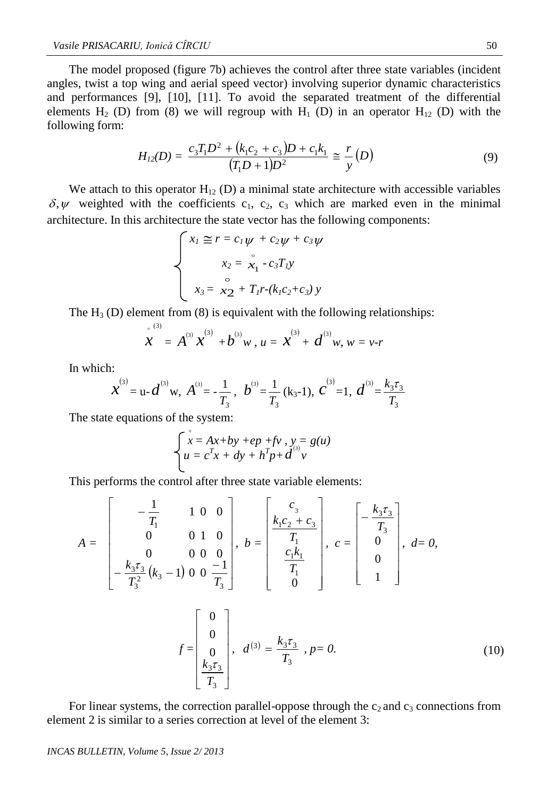The model proposed (figure 7b) achieves the control after three state variables (incident angles, twist a top wing and aerial speed vector) involving superior dynamic characteristics and performances [9], [10], [11]. To avoid the separated treatment of the differential elements H<sub>2</sub> (D) from (8) we will regroup with H<sub>1</sub> (D) in an operator H<sub>12</sub> (D) with the following form:

$$
H_{12}(D) = \frac{c_3 T_1 D^2 + (k_1 c_2 + c_3) D + c_1 k_1}{(T_1 D + 1) D^2} \cong \frac{r}{y}(D)
$$
\n(9)

We attach to this operator  $H_{12}$  (D) a minimal state architecture with accessible variables  $\delta, \psi$  weighted with the coefficients c<sub>1</sub>, c<sub>2</sub>, c<sub>3</sub> which are marked even in the minimal architecture. In this architecture the state vector has the following components:

$$
\begin{cases}\nx_I \le r = c_I \psi + c_2 \psi + c_3 \psi \\
x_2 = \overset{\circ}{x}_1 - c_3 T_I y \\
x_3 = \overset{\circ}{x}_2 + T_I r - (k_I c_2 + c_3) y\n\end{cases}
$$

The  $H_3$  (D) element from (8) is equivalent with the following relationships:

$$
\mathbf{x}^{(3)} = A^{(3)} \mathbf{x}^{(3)} + b^{(3)} w, u = \mathbf{x}^{(3)} + d^{(3)} w, w = v-r
$$

In which:

$$
x^{(3)} = u - d^{(3)}w
$$
,  $A^{(3)} = -\frac{1}{T_3}$ ,  $b^{(3)} = \frac{1}{T_3}(k_3-1)$ ,  $c^{(3)} = 1$ ,  $d^{(3)} = \frac{k_3\tau_3}{T_3}$ 

The state equations of the system:

$$
\begin{cases}\n x = Ax + by + ep + fv, y = g(u) \\
 u = c^T x + dy + h^T p + d^{(3)} v\n\end{cases}
$$

 $\mathbf{r}$ 

This performs the control after three state variable elements:

$$
A = \begin{bmatrix} -\frac{1}{T_1} & 1 & 0 & 0 \\ 0 & 0 & 1 & 0 \\ 0 & 0 & 0 & 0 \\ -\frac{k_3 \tau_3}{T_3^2} (k_3 - 1) & 0 & 0 & \frac{-1}{T_3} \end{bmatrix}, b = \begin{bmatrix} c_3 \\ \frac{k_1 c_2 + c_3}{T_1} \\ \frac{c_1 k_1}{T_1} \\ 0 \end{bmatrix}, c = \begin{bmatrix} -\frac{k_3 \tau_3}{T_3} \\ 0 \\ 0 \\ 1 \end{bmatrix}, d = 0,
$$
  

$$
f = \begin{bmatrix} 0 \\ 0 \\ 0 \\ \frac{k_3 \tau_3}{T_3} \end{bmatrix}, d^{(3)} = \frac{k_3 \tau_3}{T_3}, p = 0.
$$
 (10)

For linear systems, the correction parallel-oppose through the  $c_2$  and  $c_3$  connections from element 2 is similar to a series correction at level of the element 3:

#### *INCAS BULLETIN, Volume 5, Issue 2/ 2013*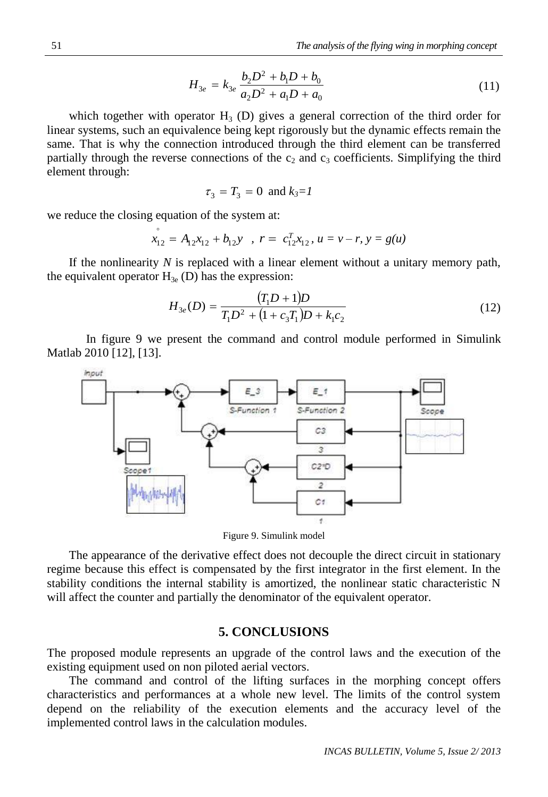$$
H_{3e} = k_{3e} \frac{b_2 D^2 + b_1 D + b_0}{a_2 D^2 + a_1 D + a_0}
$$
\n(11)

which together with operator  $H_3$  (D) gives a general correction of the third order for linear systems, such an equivalence being kept rigorously but the dynamic effects remain the same. That is why the connection introduced through the third element can be transferred partially through the reverse connections of the  $c_2$  and  $c_3$  coefficients. Simplifying the third element through:

$$
\tau_3 = T_3 = 0 \text{ and } k_3 = l
$$

we reduce the closing equation of the system at:

$$
x_{12}^{\circ} = A_{12}x_{12} + b_{12}y \quad , \quad r = c_{12}^{T}x_{12}, \quad u = v - r, \quad y = g(u)
$$

If the nonlinearity *N* is replaced with a linear element without a unitary memory path, the equivalent operator  $H_{3e}$  (D) has the expression:

$$
H_{3e}(D) = \frac{(T_1 D + 1)D}{T_1 D^2 + (1 + c_3 T_1)D + k_1 c_2}
$$
\n(12)

In figure 9 we present the command and control module performed in Simulink Matlab 2010 [12], [13].



Figure 9. Simulink model

The appearance of the derivative effect does not decouple the direct circuit in stationary regime because this effect is compensated by the first integrator in the first element. In the stability conditions the internal stability is amortized, the nonlinear static characteristic N will affect the counter and partially the denominator of the equivalent operator.

# **5. CONCLUSIONS**

The proposed module represents an upgrade of the control laws and the execution of the existing equipment used on non piloted aerial vectors.

The command and control of the lifting surfaces in the morphing concept offers characteristics and performances at a whole new level. The limits of the control system depend on the reliability of the execution elements and the accuracy level of the implemented control laws in the calculation modules.